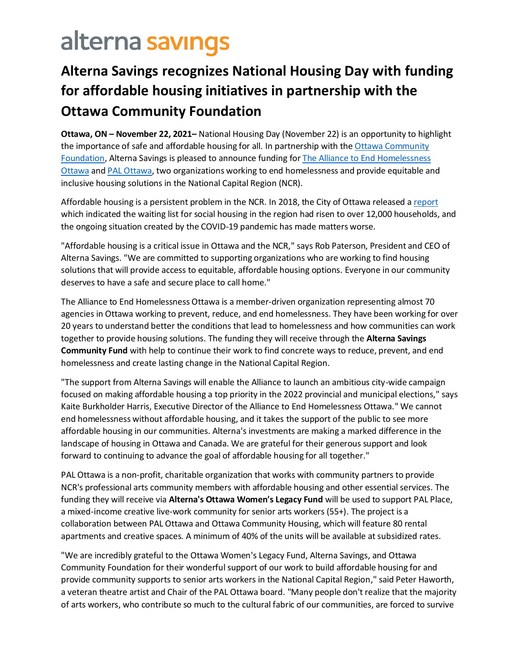## alterna savings

## **Alterna Savings recognizes National Housing Day with funding for affordable housing initiatives in partnership with the Ottawa Community Foundation**

**Ottawa, ON – November 22, 2021–** National Housing Day (November 22) is an opportunity to highlight the importance of safe and affordable housing for all. In partnership with the Ottawa Community [Foundation,](https://www.ocf-fco.ca/) Alterna Savings is pleased to announce funding for [The Alliance to End Homelessness](https://www.endhomelessnessottawa.ca/)  [Ottawa](https://www.endhomelessnessottawa.ca/) and [PAL Ottawa,](https://palottawa.org/) two organizations working to end homelessness and provide equitable and inclusive housing solutions in the National Capital Region (NCR).

Affordable housing is a persistent problem in the NCR. In 2018, the City of Ottawa released a [report](https://documents.ottawa.ca/sites/documents/files/2018_homelessness_rep_en.pdf) which indicated the waiting list for social housing in the region had risen to over 12,000 households, and the ongoing situation created by the COVID-19 pandemic has made matters worse.

"Affordable housing is a critical issue in Ottawa and the NCR," says Rob Paterson, President and CEO of Alterna Savings. "We are committed to supporting organizations who are working to find housing solutions that will provide access to equitable, affordable housing options. Everyone in our community deserves to have a safe and secure place to call home."

The Alliance to End Homelessness Ottawa is a member-driven organization representing almost 70 agencies in Ottawa working to prevent, reduce, and end homelessness. They have been working for over 20 years to understand better the conditions that lead to homelessness and how communities can work together to provide housing solutions. The funding they will receive through the **Alterna Savings Community Fund** with help to continue their work to find concrete ways to reduce, prevent, and end homelessness and create lasting change in the National Capital Region.

"The support from Alterna Savings will enable the Alliance to launch an ambitious city-wide campaign focused on making affordable housing a top priority in the 2022 provincial and municipal elections," says Kaite Burkholder Harris, Executive Director of the Alliance to End Homelessness Ottawa." We cannot end homelessness without affordable housing, and it takes the support of the public to see more affordable housing in our communities. Alterna's investments are making a marked difference in the landscape of housing in Ottawa and Canada. We are grateful for their generous support and look forward to continuing to advance the goal of affordable housing for all together."

PAL Ottawa is a non-profit, charitable organization that works with community partners to provide NCR's professional arts community members with affordable housing and other essential services. The funding they will receive via **Alterna's Ottawa Women's Legacy Fund** will be used to support PAL Place, a mixed-income creative live-work community for senior arts workers (55+). The project is a collaboration between PAL Ottawa and Ottawa Community Housing, which will feature 80 rental apartments and creative spaces. A minimum of 40% of the units will be available at subsidized rates.

"We are incredibly grateful to the Ottawa Women's Legacy Fund, Alterna Savings, and Ottawa Community Foundation for their wonderful support of our work to build affordable housing for and provide community supports to senior arts workers in the National Capital Region," said Peter Haworth, a veteran theatre artist and Chair of the PAL Ottawa board. "Many people don't realize that the majority of arts workers, who contribute so much to the cultural fabric of our communities, are forced to survive